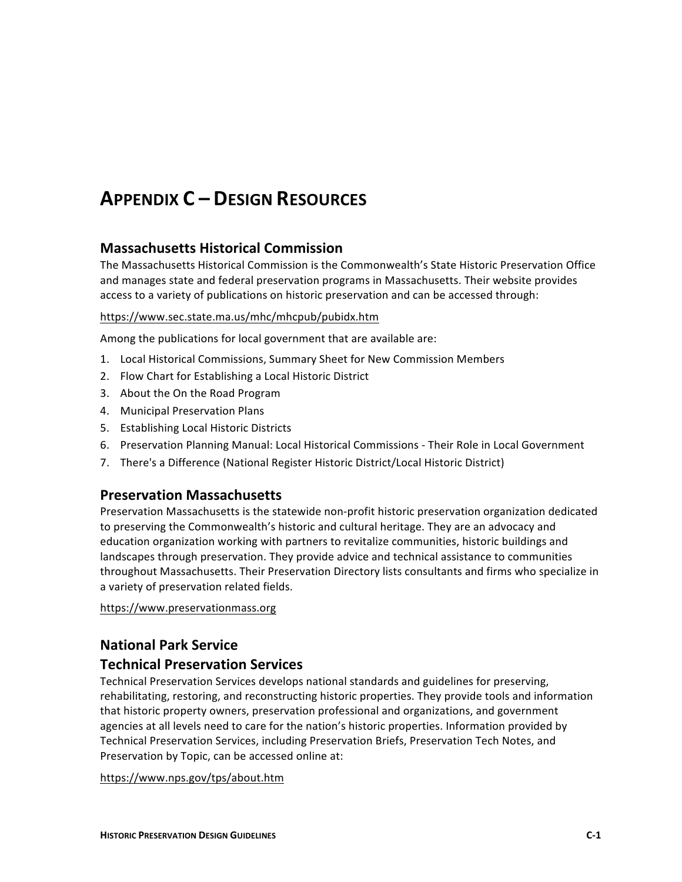# **APPENDIX C – DESIGN RESOURCES**

# **Massachusetts Historical Commission**

The Massachusetts Historical Commission is the Commonwealth's State Historic Preservation Office and manages state and federal preservation programs in Massachusetts. Their website provides access to a variety of publications on historic preservation and can be accessed through:

# https://www.sec.state.ma.us/mhc/mhcpub/pubidx.htm

Among the publications for local government that are available are:

- 1. Local Historical Commissions, Summary Sheet for New Commission Members
- 2. Flow Chart for Establishing a Local Historic District
- 3. About the On the Road Program
- 4. Municipal Preservation Plans
- 5. Establishing Local Historic Districts
- 6. Preservation Planning Manual: Local Historical Commissions Their Role in Local Government
- 7. There's a Difference (National Register Historic District/Local Historic District)

# **Preservation Massachusetts**

Preservation Massachusetts is the statewide non-profit historic preservation organization dedicated to preserving the Commonwealth's historic and cultural heritage. They are an advocacy and education organization working with partners to revitalize communities, historic buildings and landscapes through preservation. They provide advice and technical assistance to communities throughout Massachusetts. Their Preservation Directory lists consultants and firms who specialize in a variety of preservation related fields.

https://www.preservationmass.org

# **National Park Service Technical Preservation Services**

Technical Preservation Services develops national standards and guidelines for preserving, rehabilitating, restoring, and reconstructing historic properties. They provide tools and information that historic property owners, preservation professional and organizations, and government agencies at all levels need to care for the nation's historic properties. Information provided by Technical Preservation Services, including Preservation Briefs, Preservation Tech Notes, and Preservation by Topic, can be accessed online at:

https://www.nps.gov/tps/about.htm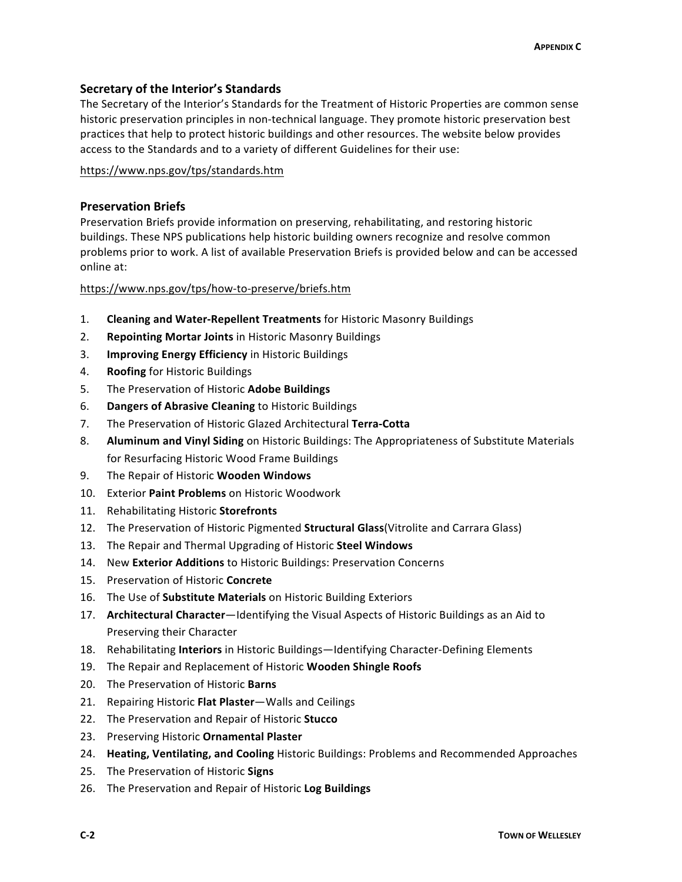# **Secretary of the Interior's Standards**

The Secretary of the Interior's Standards for the Treatment of Historic Properties are common sense historic preservation principles in non-technical language. They promote historic preservation best practices that help to protect historic buildings and other resources. The website below provides access to the Standards and to a variety of different Guidelines for their use:

#### https://www.nps.gov/tps/standards.htm

# **Preservation Briefs**

Preservation Briefs provide information on preserving, rehabilitating, and restoring historic buildings. These NPS publications help historic building owners recognize and resolve common problems prior to work. A list of available Preservation Briefs is provided below and can be accessed online at:

#### https://www.nps.gov/tps/how-to-preserve/briefs.htm

- 1. **Cleaning and Water-Repellent Treatments** for Historic Masonry Buildings
- 2. **Repointing Mortar Joints** in Historic Masonry Buildings
- 3. **Improving Energy Efficiency** in Historic Buildings
- 4. **Roofing** for Historic Buildings
- 5. The Preservation of Historic **Adobe Buildings**
- 6. **Dangers of Abrasive Cleaning** to Historic Buildings
- 7. The Preservation of Historic Glazed Architectural **Terra-Cotta**
- 8. **Aluminum and Vinyl Siding** on Historic Buildings: The Appropriateness of Substitute Materials for Resurfacing Historic Wood Frame Buildings
- 9. The Repair of Historic **Wooden Windows**
- 10. Exterior **Paint Problems** on Historic Woodwork
- 11. Rehabilitating Historic **Storefronts**
- 12. The Preservation of Historic Pigmented **Structural Glass**(Vitrolite and Carrara Glass)
- 13. The Repair and Thermal Upgrading of Historic **Steel Windows**
- 14. New **Exterior Additions** to Historic Buildings: Preservation Concerns
- 15. Preservation of Historic **Concrete**
- 16. The Use of **Substitute Materials** on Historic Building Exteriors
- 17. **Architectural Character**—Identifying the Visual Aspects of Historic Buildings as an Aid to Preserving their Character
- 18. Rehabilitating **Interiors** in Historic Buildings—Identifying Character-Defining Elements
- 19. The Repair and Replacement of Historic **Wooden Shingle Roofs**
- 20. The Preservation of Historic **Barns**
- 21. Repairing Historic **Flat Plaster**—Walls and Ceilings
- 22. The Preservation and Repair of Historic **Stucco**
- 23. Preserving Historic **Ornamental Plaster**
- 24. **Heating, Ventilating, and Cooling** Historic Buildings: Problems and Recommended Approaches
- 25. The Preservation of Historic **Signs**
- 26. The Preservation and Repair of Historic **Log Buildings**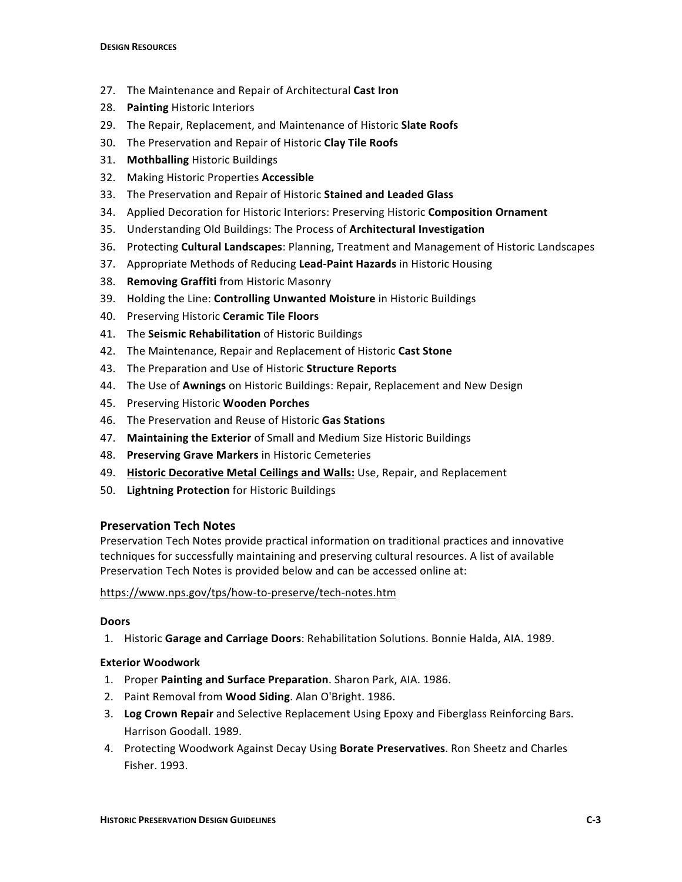- 27. The Maintenance and Repair of Architectural **Cast Iron**
- 28. **Painting** Historic Interiors
- 29. The Repair, Replacement, and Maintenance of Historic **Slate Roofs**
- 30. The Preservation and Repair of Historic **Clay Tile Roofs**
- 31. **Mothballing** Historic Buildings
- 32. Making Historic Properties **Accessible**
- 33. The Preservation and Repair of Historic **Stained and Leaded Glass**
- 34. Applied Decoration for Historic Interiors: Preserving Historic **Composition Ornament**
- 35. Understanding Old Buildings: The Process of **Architectural Investigation**
- 36. Protecting **Cultural Landscapes**: Planning, Treatment and Management of Historic Landscapes
- 37. Appropriate Methods of Reducing **Lead-Paint Hazards** in Historic Housing
- 38. **Removing Graffiti** from Historic Masonry
- 39. Holding the Line: **Controlling Unwanted Moisture** in Historic Buildings
- 40. Preserving Historic **Ceramic Tile Floors**
- 41. The **Seismic Rehabilitation** of Historic Buildings
- 42. The Maintenance, Repair and Replacement of Historic **Cast Stone**
- 43. The Preparation and Use of Historic **Structure Reports**
- 44. The Use of **Awnings** on Historic Buildings: Repair, Replacement and New Design
- 45. Preserving Historic **Wooden Porches**
- 46. The Preservation and Reuse of Historic **Gas Stations**
- 47. **Maintaining the Exterior** of Small and Medium Size Historic Buildings
- 48. **Preserving Grave Markers** in Historic Cemeteries
- 49. **Historic Decorative Metal Ceilings and Walls:** Use, Repair, and Replacement
- 50. **Lightning Protection** for Historic Buildings

# **Preservation Tech Notes**

Preservation Tech Notes provide practical information on traditional practices and innovative techniques for successfully maintaining and preserving cultural resources. A list of available Preservation Tech Notes is provided below and can be accessed online at:

#### https://www.nps.gov/tps/how-to-preserve/tech-notes.htm

#### **Doors**

1. Historic **Garage and Carriage Doors**: Rehabilitation Solutions. Bonnie Halda, AIA. 1989.

#### **Exterior Woodwork**

- 1. Proper **Painting and Surface Preparation**. Sharon Park, AIA. 1986.
- 2. Paint Removal from **Wood Siding**. Alan O'Bright. 1986.
- 3. **Log Crown Repair** and Selective Replacement Using Epoxy and Fiberglass Reinforcing Bars. Harrison Goodall. 1989.
- 4. Protecting Woodwork Against Decay Using **Borate Preservatives**. Ron Sheetz and Charles Fisher. 1993.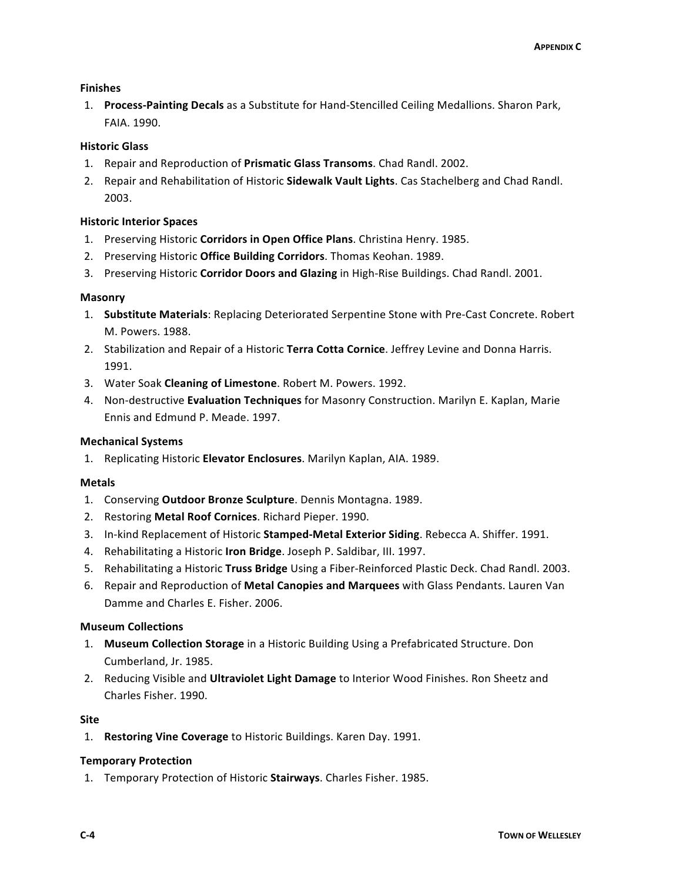#### **Finishes**

1. **Process-Painting Decals** as a Substitute for Hand-Stencilled Ceiling Medallions. Sharon Park, FAIA. 1990.

# **Historic Glass**

- 1. Repair and Reproduction of **Prismatic Glass Transoms**. Chad Randl. 2002.
- 2. Repair and Rehabilitation of Historic **Sidewalk Vault Lights**. Cas Stachelberg and Chad Randl. 2003.

#### **Historic Interior Spaces**

- 1. Preserving Historic **Corridors in Open Office Plans**. Christina Henry. 1985.
- 2. Preserving Historic **Office Building Corridors**. Thomas Keohan. 1989.
- 3. Preserving Historic **Corridor Doors and Glazing** in High-Rise Buildings. Chad Randl. 2001.

#### **Masonry**

- 1. **Substitute Materials**: Replacing Deteriorated Serpentine Stone with Pre-Cast Concrete. Robert M. Powers. 1988.
- 2. Stabilization and Repair of a Historic Terra Cotta Cornice. Jeffrey Levine and Donna Harris. 1991.
- 3. Water Soak **Cleaning of Limestone**. Robert M. Powers. 1992.
- 4. Non-destructive **Evaluation Techniques** for Masonry Construction. Marilyn E. Kaplan, Marie Ennis and Edmund P. Meade. 1997.

#### **Mechanical Systems**

1. Replicating Historic **Elevator Enclosures**. Marilyn Kaplan, AIA. 1989.

#### **Metals**

- 1. Conserving **Outdoor Bronze Sculpture**. Dennis Montagna. 1989.
- 2. Restoring **Metal Roof Cornices**. Richard Pieper. 1990.
- 3. In-kind Replacement of Historic **Stamped-Metal Exterior Siding**. Rebecca A. Shiffer. 1991.
- 4. Rehabilitating a Historic Iron Bridge. Joseph P. Saldibar, III. 1997.
- 5. Rehabilitating a Historic **Truss Bridge** Using a Fiber-Reinforced Plastic Deck. Chad Randl. 2003.
- 6. Repair and Reproduction of **Metal Canopies and Marquees** with Glass Pendants. Lauren Van Damme and Charles E. Fisher. 2006.

#### **Museum Collections**

- 1. **Museum Collection Storage** in a Historic Building Using a Prefabricated Structure. Don Cumberland, Jr. 1985.
- 2. Reducing Visible and **Ultraviolet Light Damage** to Interior Wood Finishes. Ron Sheetz and Charles Fisher. 1990.

#### **Site**

1. **Restoring Vine Coverage** to Historic Buildings. Karen Day. 1991.

#### **Temporary Protection**

1. Temporary Protection of Historic Stairways. Charles Fisher. 1985.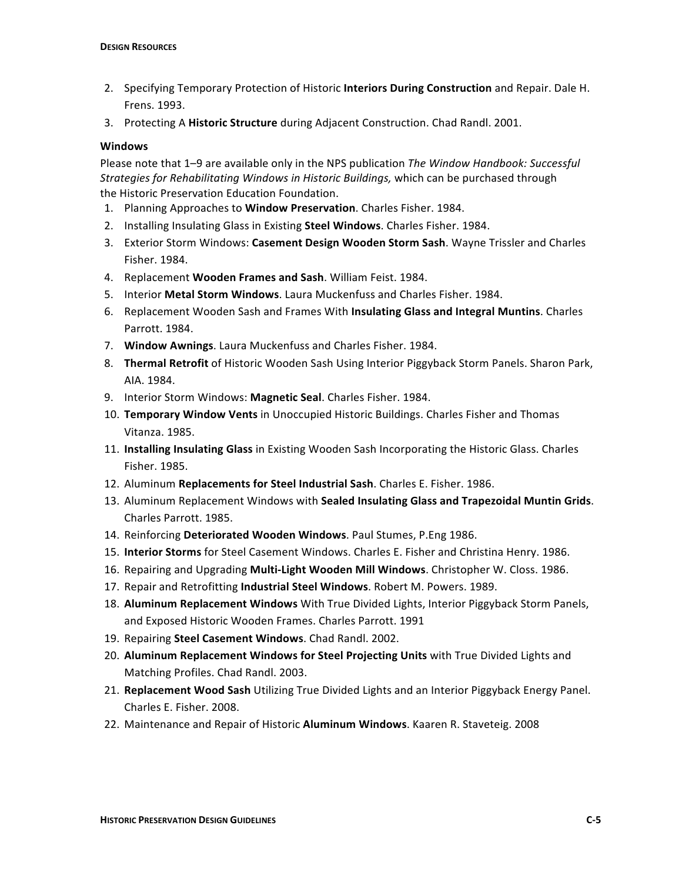- 2. Specifying Temporary Protection of Historic **Interiors During Construction** and Repair. Dale H. Frens. 1993.
- 3. Protecting A Historic Structure during Adjacent Construction. Chad Randl. 2001.

#### **Windows**

Please note that 1-9 are available only in the NPS publication *The Window Handbook: Successful Strategies for Rehabilitating Windows in Historic Buildings,* which can be purchased through the Historic Preservation Education Foundation.

- 1. Planning Approaches to **Window Preservation**. Charles Fisher. 1984.
- 2. Installing Insulating Glass in Existing **Steel Windows**. Charles Fisher. 1984.
- 3. Exterior Storm Windows: **Casement Design Wooden Storm Sash**. Wayne Trissler and Charles Fisher. 1984.
- 4. Replacement **Wooden Frames and Sash**. William Feist. 1984.
- 5. Interior **Metal Storm Windows**. Laura Muckenfuss and Charles Fisher. 1984.
- 6. Replacement Wooden Sash and Frames With **Insulating Glass and Integral Muntins**. Charles Parrott. 1984.
- 7. **Window Awnings**. Laura Muckenfuss and Charles Fisher. 1984.
- 8. **Thermal Retrofit** of Historic Wooden Sash Using Interior Piggyback Storm Panels. Sharon Park, AIA. 1984.
- 9. Interior Storm Windows: Magnetic Seal. Charles Fisher. 1984.
- 10. **Temporary Window Vents** in Unoccupied Historic Buildings. Charles Fisher and Thomas Vitanza. 1985.
- 11. **Installing Insulating Glass** in Existing Wooden Sash Incorporating the Historic Glass. Charles Fisher. 1985.
- 12. Aluminum **Replacements for Steel Industrial Sash**. Charles E. Fisher. 1986.
- 13. Aluminum Replacement Windows with **Sealed Insulating Glass and Trapezoidal Muntin Grids**. Charles Parrott. 1985.
- 14. Reinforcing **Deteriorated Wooden Windows**. Paul Stumes, P.Eng 1986.
- 15. **Interior Storms** for Steel Casement Windows. Charles E. Fisher and Christina Henry. 1986.
- 16. Repairing and Upgrading **Multi-Light Wooden Mill Windows**. Christopher W. Closs. 1986.
- 17. Repair and Retrofitting **Industrial Steel Windows**. Robert M. Powers. 1989.
- 18. **Aluminum Replacement Windows** With True Divided Lights, Interior Piggyback Storm Panels, and Exposed Historic Wooden Frames. Charles Parrott. 1991
- 19. Repairing **Steel Casement Windows**. Chad Randl. 2002.
- 20. **Aluminum Replacement Windows for Steel Projecting Units** with True Divided Lights and Matching Profiles. Chad Randl. 2003.
- 21. **Replacement Wood Sash** Utilizing True Divided Lights and an Interior Piggyback Energy Panel. Charles E. Fisher. 2008.
- 22. Maintenance and Repair of Historic **Aluminum Windows**. Kaaren R. Staveteig. 2008